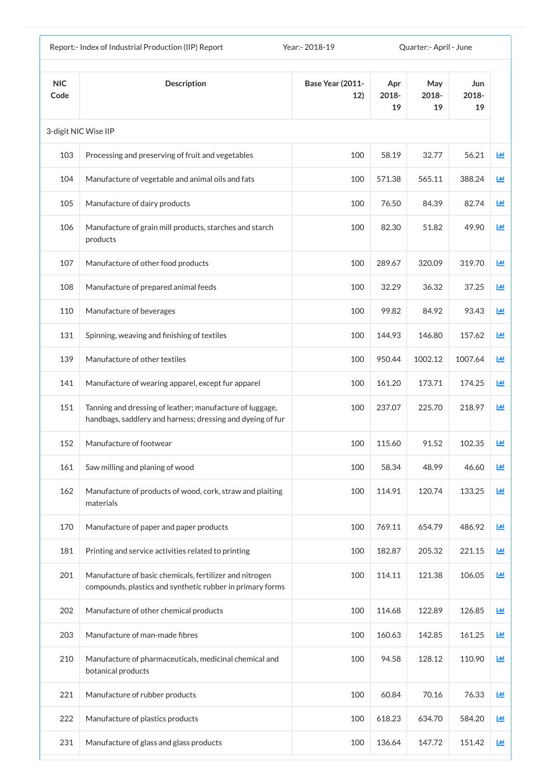|                    | Report:- Index of Industrial Production (IIP) Report                                                                   | Year: - 2018-19                |                    | Quarter: - April - June |                    |            |
|--------------------|------------------------------------------------------------------------------------------------------------------------|--------------------------------|--------------------|-------------------------|--------------------|------------|
| <b>NIC</b><br>Code | <b>Description</b>                                                                                                     | <b>Base Year (2011-</b><br>12) | Apr<br>2018-<br>19 | May<br>2018-<br>19      | Jun<br>2018-<br>19 |            |
|                    | 3-digit NIC Wise IIP                                                                                                   |                                |                    |                         |                    |            |
| 103                | Processing and preserving of fruit and vegetables                                                                      | 100                            | 58.19              | 32.77                   | 56.21              | <b>Lul</b> |
| 104                | Manufacture of vegetable and animal oils and fats                                                                      | 100                            | 571.38             | 565.11                  | 388.24             | 画          |
| 105                | Manufacture of dairy products                                                                                          | 100                            | 76.50              | 84.39                   | 82.74              | 画          |
| 106                | Manufacture of grain mill products, starches and starch<br>products                                                    | 100                            | 82.30              | 51.82                   | 49.90              | 画          |
| 107                | Manufacture of other food products                                                                                     | 100                            | 289.67             | 320.09                  | 319.70             | 画          |
| 108                | Manufacture of prepared animal feeds                                                                                   | 100                            | 32.29              | 36.32                   | 37.25              | 國          |
| 110                | Manufacture of beverages                                                                                               | 100                            | 99.82              | 84.92                   | 93.43              | 匝          |
| 131                | Spinning, weaving and finishing of textiles                                                                            | 100                            | 144.93             | 146.80                  | 157.62             | 画          |
| 139                | Manufacture of other textiles                                                                                          | 100                            | 950.44             | 1002.12                 | 1007.64            | ш          |
| 141                | Manufacture of wearing apparel, except fur apparel                                                                     | 100                            | 161.20             | 173.71                  | 174.25             | Ш          |
| 151                | Tanning and dressing of leather; manufacture of luggage,<br>handbags, saddlery and harness; dressing and dyeing of fur | 100                            | 237.07             | 225.70                  | 218.97             | 画          |
| 152                | Manufacture of footwear                                                                                                | 100                            | 115.60             | 91.52                   | 102.35             | 画          |
| 161                | Saw milling and planing of wood                                                                                        | 100                            | 58.34              | 48.99                   | 46.60              | ш          |
| 162                | Manufacture of products of wood, cork, straw and plaiting<br>materials                                                 | 100                            | 114.91             | 120.74                  | 133.25             | Ш          |
| 170                | Manufacture of paper and paper products                                                                                | 100                            | 769.11             | 654.79                  | 486.92             | ш          |
| 181                | Printing and service activities related to printing                                                                    | 100                            | 182.87             | 205.32                  | 221.15             | 画          |
| 201                | Manufacture of basic chemicals, fertilizer and nitrogen<br>compounds, plastics and synthetic rubber in primary forms   | 100                            | 114.11             | 121.38                  | 106.05             | ш          |
| 202                | Manufacture of other chemical products                                                                                 | 100                            | 114.68             | 122.89                  | 126.85             | 國          |
| 203                | Manufacture of man-made fibres                                                                                         | 100                            | 160.63             | 142.85                  | 161.25             | 画          |
| 210                | Manufacture of pharmaceuticals, medicinal chemical and<br>botanical products                                           | 100                            | 94.58              | 128.12                  | 110.90             | 画          |
| 221                | Manufacture of rubber products                                                                                         | 100                            | 60.84              | 70.16                   | 76.33              | Ш          |
| 222                | Manufacture of plastics products                                                                                       | 100                            | 618.23             | 634.70                  | 584.20             | Ш          |
| 231                | Manufacture of glass and glass products                                                                                | 100                            | 136.64             | 147.72                  | 151.42             | 画          |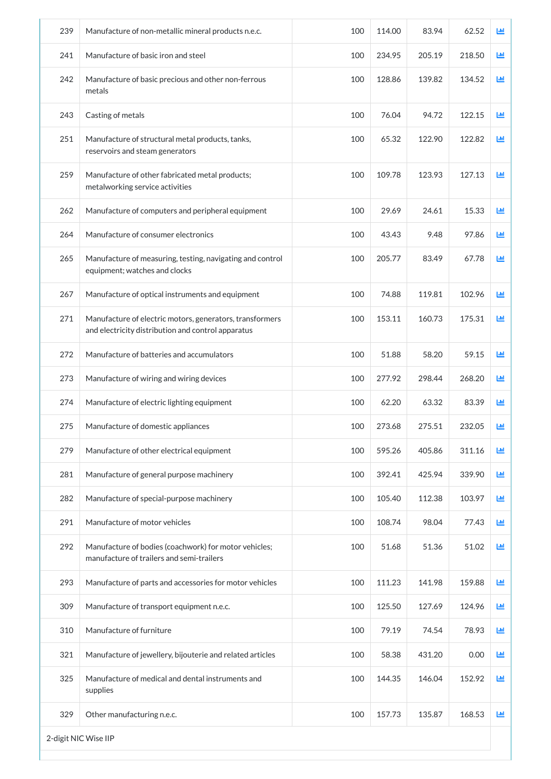| Manufacture of basic iron and steel<br>Manufacture of basic precious and other non-ferrous<br>metals<br>Casting of metals<br>Manufacture of structural metal products, tanks,<br>reservoirs and steam generators<br>Manufacture of other fabricated metal products;<br>metalworking service activities<br>Manufacture of computers and peripheral equipment<br>Manufacture of consumer electronics<br>Manufacture of measuring, testing, navigating and control<br>equipment; watches and clocks<br>Manufacture of optical instruments and equipment<br>Manufacture of electric motors, generators, transformers<br>and electricity distribution and control apparatus<br>Manufacture of batteries and accumulators<br>Manufacture of wiring and wiring devices | 100<br>100<br>100<br>100<br>100<br>100<br>100<br>100<br>100<br>100<br>100                                                                                                                                                                                                                                                                                            | 234.95<br>128.86<br>76.04<br>65.32<br>109.78<br>29.69<br>43.43<br>205.77<br>74.88<br>153.11 | 205.19<br>139.82<br>94.72<br>122.90<br>123.93<br>24.61<br>9.48<br>83.49<br>119.81<br>160.73 | 218.50<br>134.52<br>122.15<br>122.82<br>127.13<br>15.33<br>97.86<br>67.78<br>102.96 | ш<br>画<br><u>lad</u><br>國<br>画<br>画<br>匝<br>國<br>國 |
|-----------------------------------------------------------------------------------------------------------------------------------------------------------------------------------------------------------------------------------------------------------------------------------------------------------------------------------------------------------------------------------------------------------------------------------------------------------------------------------------------------------------------------------------------------------------------------------------------------------------------------------------------------------------------------------------------------------------------------------------------------------------|----------------------------------------------------------------------------------------------------------------------------------------------------------------------------------------------------------------------------------------------------------------------------------------------------------------------------------------------------------------------|---------------------------------------------------------------------------------------------|---------------------------------------------------------------------------------------------|-------------------------------------------------------------------------------------|----------------------------------------------------|
|                                                                                                                                                                                                                                                                                                                                                                                                                                                                                                                                                                                                                                                                                                                                                                 |                                                                                                                                                                                                                                                                                                                                                                      |                                                                                             |                                                                                             |                                                                                     |                                                    |
|                                                                                                                                                                                                                                                                                                                                                                                                                                                                                                                                                                                                                                                                                                                                                                 |                                                                                                                                                                                                                                                                                                                                                                      |                                                                                             |                                                                                             |                                                                                     |                                                    |
|                                                                                                                                                                                                                                                                                                                                                                                                                                                                                                                                                                                                                                                                                                                                                                 |                                                                                                                                                                                                                                                                                                                                                                      |                                                                                             |                                                                                             |                                                                                     |                                                    |
|                                                                                                                                                                                                                                                                                                                                                                                                                                                                                                                                                                                                                                                                                                                                                                 |                                                                                                                                                                                                                                                                                                                                                                      |                                                                                             |                                                                                             |                                                                                     |                                                    |
|                                                                                                                                                                                                                                                                                                                                                                                                                                                                                                                                                                                                                                                                                                                                                                 |                                                                                                                                                                                                                                                                                                                                                                      |                                                                                             |                                                                                             |                                                                                     |                                                    |
|                                                                                                                                                                                                                                                                                                                                                                                                                                                                                                                                                                                                                                                                                                                                                                 |                                                                                                                                                                                                                                                                                                                                                                      |                                                                                             |                                                                                             |                                                                                     |                                                    |
|                                                                                                                                                                                                                                                                                                                                                                                                                                                                                                                                                                                                                                                                                                                                                                 |                                                                                                                                                                                                                                                                                                                                                                      |                                                                                             |                                                                                             |                                                                                     |                                                    |
|                                                                                                                                                                                                                                                                                                                                                                                                                                                                                                                                                                                                                                                                                                                                                                 |                                                                                                                                                                                                                                                                                                                                                                      |                                                                                             |                                                                                             |                                                                                     |                                                    |
|                                                                                                                                                                                                                                                                                                                                                                                                                                                                                                                                                                                                                                                                                                                                                                 |                                                                                                                                                                                                                                                                                                                                                                      |                                                                                             |                                                                                             |                                                                                     |                                                    |
|                                                                                                                                                                                                                                                                                                                                                                                                                                                                                                                                                                                                                                                                                                                                                                 |                                                                                                                                                                                                                                                                                                                                                                      |                                                                                             |                                                                                             | 175.31                                                                              | 画                                                  |
|                                                                                                                                                                                                                                                                                                                                                                                                                                                                                                                                                                                                                                                                                                                                                                 |                                                                                                                                                                                                                                                                                                                                                                      | 51.88                                                                                       | 58.20                                                                                       | 59.15                                                                               | 画                                                  |
|                                                                                                                                                                                                                                                                                                                                                                                                                                                                                                                                                                                                                                                                                                                                                                 | 100                                                                                                                                                                                                                                                                                                                                                                  | 277.92                                                                                      | 298.44                                                                                      | 268.20                                                                              | 画                                                  |
| Manufacture of electric lighting equipment                                                                                                                                                                                                                                                                                                                                                                                                                                                                                                                                                                                                                                                                                                                      | 100                                                                                                                                                                                                                                                                                                                                                                  | 62.20                                                                                       | 63.32                                                                                       | 83.39                                                                               | 画                                                  |
| Manufacture of domestic appliances                                                                                                                                                                                                                                                                                                                                                                                                                                                                                                                                                                                                                                                                                                                              | 100                                                                                                                                                                                                                                                                                                                                                                  | 273.68                                                                                      | 275.51                                                                                      | 232.05                                                                              | 画                                                  |
| Manufacture of other electrical equipment                                                                                                                                                                                                                                                                                                                                                                                                                                                                                                                                                                                                                                                                                                                       | 100                                                                                                                                                                                                                                                                                                                                                                  | 595.26                                                                                      | 405.86                                                                                      | 311.16                                                                              | 画                                                  |
| Manufacture of general purpose machinery                                                                                                                                                                                                                                                                                                                                                                                                                                                                                                                                                                                                                                                                                                                        | 100                                                                                                                                                                                                                                                                                                                                                                  | 392.41                                                                                      | 425.94                                                                                      | 339.90                                                                              | 画                                                  |
| Manufacture of special-purpose machinery                                                                                                                                                                                                                                                                                                                                                                                                                                                                                                                                                                                                                                                                                                                        | 100                                                                                                                                                                                                                                                                                                                                                                  | 105.40                                                                                      | 112.38                                                                                      | 103.97                                                                              | 画                                                  |
| Manufacture of motor vehicles                                                                                                                                                                                                                                                                                                                                                                                                                                                                                                                                                                                                                                                                                                                                   | 100                                                                                                                                                                                                                                                                                                                                                                  | 108.74                                                                                      | 98.04                                                                                       | 77.43                                                                               | 画                                                  |
|                                                                                                                                                                                                                                                                                                                                                                                                                                                                                                                                                                                                                                                                                                                                                                 | 100                                                                                                                                                                                                                                                                                                                                                                  | 51.68                                                                                       | 51.36                                                                                       | 51.02                                                                               | 画                                                  |
|                                                                                                                                                                                                                                                                                                                                                                                                                                                                                                                                                                                                                                                                                                                                                                 | 100                                                                                                                                                                                                                                                                                                                                                                  | 111.23                                                                                      | 141.98                                                                                      | 159.88                                                                              | 画                                                  |
|                                                                                                                                                                                                                                                                                                                                                                                                                                                                                                                                                                                                                                                                                                                                                                 | 100                                                                                                                                                                                                                                                                                                                                                                  | 125.50                                                                                      | 127.69                                                                                      | 124.96                                                                              | 画                                                  |
|                                                                                                                                                                                                                                                                                                                                                                                                                                                                                                                                                                                                                                                                                                                                                                 | 100                                                                                                                                                                                                                                                                                                                                                                  | 79.19                                                                                       | 74.54                                                                                       | 78.93                                                                               | 画                                                  |
|                                                                                                                                                                                                                                                                                                                                                                                                                                                                                                                                                                                                                                                                                                                                                                 | 100                                                                                                                                                                                                                                                                                                                                                                  | 58.38                                                                                       | 431.20                                                                                      | 0.00                                                                                | 画                                                  |
|                                                                                                                                                                                                                                                                                                                                                                                                                                                                                                                                                                                                                                                                                                                                                                 | 100                                                                                                                                                                                                                                                                                                                                                                  | 144.35                                                                                      | 146.04                                                                                      | 152.92                                                                              | 画                                                  |
|                                                                                                                                                                                                                                                                                                                                                                                                                                                                                                                                                                                                                                                                                                                                                                 |                                                                                                                                                                                                                                                                                                                                                                      | 157.73                                                                                      | 135.87                                                                                      | 168.53                                                                              | 画                                                  |
|                                                                                                                                                                                                                                                                                                                                                                                                                                                                                                                                                                                                                                                                                                                                                                 | Manufacture of bodies (coachwork) for motor vehicles;<br>manufacture of trailers and semi-trailers<br>Manufacture of parts and accessories for motor vehicles<br>Manufacture of transport equipment n.e.c.<br>Manufacture of furniture<br>Manufacture of jewellery, bijouterie and related articles<br>Manufacture of medical and dental instruments and<br>supplies | 100<br>Other manufacturing n.e.c.                                                           |                                                                                             |                                                                                     |                                                    |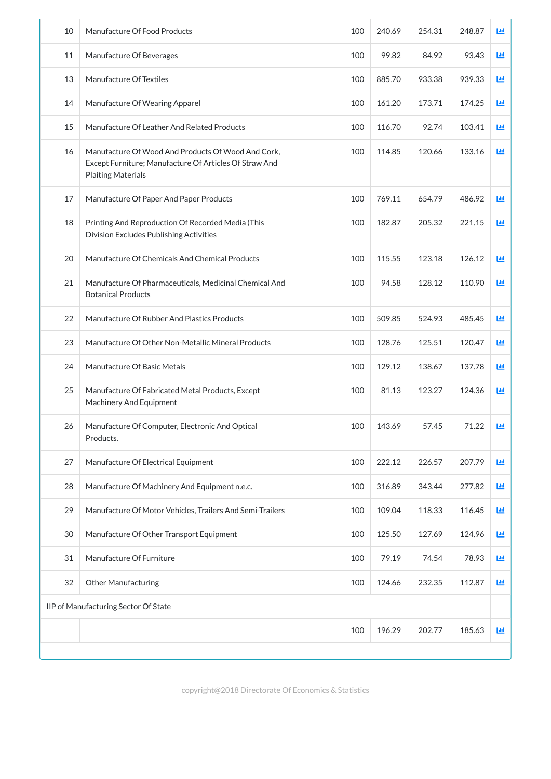| 11<br>99.82<br>84.92<br>93.43<br>Manufacture Of Beverages<br>100<br>LЩ<br>13<br>Manufacture Of Textiles<br>100<br>885.70<br>933.38<br>939.33<br>画<br>161.20<br>173.71<br>174.25<br>LЩ<br>14<br>Manufacture Of Wearing Apparel<br>100<br>15<br>Manufacture Of Leather And Related Products<br>100<br>116.70<br>92.74<br>103.41<br>LЩ<br>Manufacture Of Wood And Products Of Wood And Cork,<br>114.85<br>120.66<br>133.16<br>ĿЩ<br>16<br>100<br>Except Furniture; Manufacture Of Articles Of Straw And<br><b>Plaiting Materials</b><br>17<br>100<br>769.11<br>654.79<br>486.92<br>画<br>Manufacture Of Paper And Paper Products<br>18<br>100<br>182.87<br>205.32<br>221.15<br>画<br>Printing And Reproduction Of Recorded Media (This<br>Division Excludes Publishing Activities<br>20<br>Manufacture Of Chemicals And Chemical Products<br>100<br>115.55<br>123.18<br>126.12<br>Ш<br>94.58<br>128.12<br>110.90<br>21<br>Manufacture Of Pharmaceuticals, Medicinal Chemical And<br>100<br>画<br><b>Botanical Products</b><br>100<br>509.85<br>485.45<br>22<br>Manufacture Of Rubber And Plastics Products<br>524.93<br>Ш<br>23<br>Manufacture Of Other Non-Metallic Mineral Products<br>128.76<br>125.51<br>120.47<br>100<br>Ш<br>24<br>Manufacture Of Basic Metals<br>100<br>129.12<br>138.67<br>137.78<br>画<br>25<br>81.13<br>123.27<br>124.36<br>Manufacture Of Fabricated Metal Products, Except<br>100<br>Ш<br><b>Machinery And Equipment</b><br>71.22<br>26<br>100<br>143.69<br>57.45<br>LЩ<br>Manufacture Of Computer, Electronic And Optical<br>Products.<br>27<br>Manufacture Of Electrical Equipment<br>100<br>222.12<br>226.57<br>207.79<br>LЩ<br>28<br>Manufacture Of Machinery And Equipment n.e.c.<br>100<br>316.89<br>343.44<br>277.82<br>ĿЩ<br>29<br>Manufacture Of Motor Vehicles, Trailers And Semi-Trailers<br>100<br>109.04<br>118.33<br>116.45<br>ĿЩ<br>30<br>Manufacture Of Other Transport Equipment<br>100<br>125.50<br>127.69<br>124.96<br>画<br>31<br>Manufacture Of Furniture<br>79.19<br>74.54<br>78.93<br>画<br>100<br>32<br>124.66<br>232.35<br>112.87<br><b>Other Manufacturing</b><br>100<br>画<br>IIP of Manufacturing Sector Of State<br>100<br>196.29<br>202.77<br>185.63<br>画 | 10 | Manufacture Of Food Products | 100 | 240.69 | 254.31 | 248.87 | LЩ |
|-----------------------------------------------------------------------------------------------------------------------------------------------------------------------------------------------------------------------------------------------------------------------------------------------------------------------------------------------------------------------------------------------------------------------------------------------------------------------------------------------------------------------------------------------------------------------------------------------------------------------------------------------------------------------------------------------------------------------------------------------------------------------------------------------------------------------------------------------------------------------------------------------------------------------------------------------------------------------------------------------------------------------------------------------------------------------------------------------------------------------------------------------------------------------------------------------------------------------------------------------------------------------------------------------------------------------------------------------------------------------------------------------------------------------------------------------------------------------------------------------------------------------------------------------------------------------------------------------------------------------------------------------------------------------------------------------------------------------------------------------------------------------------------------------------------------------------------------------------------------------------------------------------------------------------------------------------------------------------------------------------------------------------------------------------------------------------------------------------------------------------------------------------------------------------------------------------------|----|------------------------------|-----|--------|--------|--------|----|
|                                                                                                                                                                                                                                                                                                                                                                                                                                                                                                                                                                                                                                                                                                                                                                                                                                                                                                                                                                                                                                                                                                                                                                                                                                                                                                                                                                                                                                                                                                                                                                                                                                                                                                                                                                                                                                                                                                                                                                                                                                                                                                                                                                                                           |    |                              |     |        |        |        |    |
|                                                                                                                                                                                                                                                                                                                                                                                                                                                                                                                                                                                                                                                                                                                                                                                                                                                                                                                                                                                                                                                                                                                                                                                                                                                                                                                                                                                                                                                                                                                                                                                                                                                                                                                                                                                                                                                                                                                                                                                                                                                                                                                                                                                                           |    |                              |     |        |        |        |    |
|                                                                                                                                                                                                                                                                                                                                                                                                                                                                                                                                                                                                                                                                                                                                                                                                                                                                                                                                                                                                                                                                                                                                                                                                                                                                                                                                                                                                                                                                                                                                                                                                                                                                                                                                                                                                                                                                                                                                                                                                                                                                                                                                                                                                           |    |                              |     |        |        |        |    |
|                                                                                                                                                                                                                                                                                                                                                                                                                                                                                                                                                                                                                                                                                                                                                                                                                                                                                                                                                                                                                                                                                                                                                                                                                                                                                                                                                                                                                                                                                                                                                                                                                                                                                                                                                                                                                                                                                                                                                                                                                                                                                                                                                                                                           |    |                              |     |        |        |        |    |
|                                                                                                                                                                                                                                                                                                                                                                                                                                                                                                                                                                                                                                                                                                                                                                                                                                                                                                                                                                                                                                                                                                                                                                                                                                                                                                                                                                                                                                                                                                                                                                                                                                                                                                                                                                                                                                                                                                                                                                                                                                                                                                                                                                                                           |    |                              |     |        |        |        |    |
|                                                                                                                                                                                                                                                                                                                                                                                                                                                                                                                                                                                                                                                                                                                                                                                                                                                                                                                                                                                                                                                                                                                                                                                                                                                                                                                                                                                                                                                                                                                                                                                                                                                                                                                                                                                                                                                                                                                                                                                                                                                                                                                                                                                                           |    |                              |     |        |        |        |    |
|                                                                                                                                                                                                                                                                                                                                                                                                                                                                                                                                                                                                                                                                                                                                                                                                                                                                                                                                                                                                                                                                                                                                                                                                                                                                                                                                                                                                                                                                                                                                                                                                                                                                                                                                                                                                                                                                                                                                                                                                                                                                                                                                                                                                           |    |                              |     |        |        |        |    |
|                                                                                                                                                                                                                                                                                                                                                                                                                                                                                                                                                                                                                                                                                                                                                                                                                                                                                                                                                                                                                                                                                                                                                                                                                                                                                                                                                                                                                                                                                                                                                                                                                                                                                                                                                                                                                                                                                                                                                                                                                                                                                                                                                                                                           |    |                              |     |        |        |        |    |
|                                                                                                                                                                                                                                                                                                                                                                                                                                                                                                                                                                                                                                                                                                                                                                                                                                                                                                                                                                                                                                                                                                                                                                                                                                                                                                                                                                                                                                                                                                                                                                                                                                                                                                                                                                                                                                                                                                                                                                                                                                                                                                                                                                                                           |    |                              |     |        |        |        |    |
|                                                                                                                                                                                                                                                                                                                                                                                                                                                                                                                                                                                                                                                                                                                                                                                                                                                                                                                                                                                                                                                                                                                                                                                                                                                                                                                                                                                                                                                                                                                                                                                                                                                                                                                                                                                                                                                                                                                                                                                                                                                                                                                                                                                                           |    |                              |     |        |        |        |    |
|                                                                                                                                                                                                                                                                                                                                                                                                                                                                                                                                                                                                                                                                                                                                                                                                                                                                                                                                                                                                                                                                                                                                                                                                                                                                                                                                                                                                                                                                                                                                                                                                                                                                                                                                                                                                                                                                                                                                                                                                                                                                                                                                                                                                           |    |                              |     |        |        |        |    |
|                                                                                                                                                                                                                                                                                                                                                                                                                                                                                                                                                                                                                                                                                                                                                                                                                                                                                                                                                                                                                                                                                                                                                                                                                                                                                                                                                                                                                                                                                                                                                                                                                                                                                                                                                                                                                                                                                                                                                                                                                                                                                                                                                                                                           |    |                              |     |        |        |        |    |
|                                                                                                                                                                                                                                                                                                                                                                                                                                                                                                                                                                                                                                                                                                                                                                                                                                                                                                                                                                                                                                                                                                                                                                                                                                                                                                                                                                                                                                                                                                                                                                                                                                                                                                                                                                                                                                                                                                                                                                                                                                                                                                                                                                                                           |    |                              |     |        |        |        |    |
|                                                                                                                                                                                                                                                                                                                                                                                                                                                                                                                                                                                                                                                                                                                                                                                                                                                                                                                                                                                                                                                                                                                                                                                                                                                                                                                                                                                                                                                                                                                                                                                                                                                                                                                                                                                                                                                                                                                                                                                                                                                                                                                                                                                                           |    |                              |     |        |        |        |    |
|                                                                                                                                                                                                                                                                                                                                                                                                                                                                                                                                                                                                                                                                                                                                                                                                                                                                                                                                                                                                                                                                                                                                                                                                                                                                                                                                                                                                                                                                                                                                                                                                                                                                                                                                                                                                                                                                                                                                                                                                                                                                                                                                                                                                           |    |                              |     |        |        |        |    |
|                                                                                                                                                                                                                                                                                                                                                                                                                                                                                                                                                                                                                                                                                                                                                                                                                                                                                                                                                                                                                                                                                                                                                                                                                                                                                                                                                                                                                                                                                                                                                                                                                                                                                                                                                                                                                                                                                                                                                                                                                                                                                                                                                                                                           |    |                              |     |        |        |        |    |
|                                                                                                                                                                                                                                                                                                                                                                                                                                                                                                                                                                                                                                                                                                                                                                                                                                                                                                                                                                                                                                                                                                                                                                                                                                                                                                                                                                                                                                                                                                                                                                                                                                                                                                                                                                                                                                                                                                                                                                                                                                                                                                                                                                                                           |    |                              |     |        |        |        |    |
|                                                                                                                                                                                                                                                                                                                                                                                                                                                                                                                                                                                                                                                                                                                                                                                                                                                                                                                                                                                                                                                                                                                                                                                                                                                                                                                                                                                                                                                                                                                                                                                                                                                                                                                                                                                                                                                                                                                                                                                                                                                                                                                                                                                                           |    |                              |     |        |        |        |    |
|                                                                                                                                                                                                                                                                                                                                                                                                                                                                                                                                                                                                                                                                                                                                                                                                                                                                                                                                                                                                                                                                                                                                                                                                                                                                                                                                                                                                                                                                                                                                                                                                                                                                                                                                                                                                                                                                                                                                                                                                                                                                                                                                                                                                           |    |                              |     |        |        |        |    |
|                                                                                                                                                                                                                                                                                                                                                                                                                                                                                                                                                                                                                                                                                                                                                                                                                                                                                                                                                                                                                                                                                                                                                                                                                                                                                                                                                                                                                                                                                                                                                                                                                                                                                                                                                                                                                                                                                                                                                                                                                                                                                                                                                                                                           |    |                              |     |        |        |        |    |
|                                                                                                                                                                                                                                                                                                                                                                                                                                                                                                                                                                                                                                                                                                                                                                                                                                                                                                                                                                                                                                                                                                                                                                                                                                                                                                                                                                                                                                                                                                                                                                                                                                                                                                                                                                                                                                                                                                                                                                                                                                                                                                                                                                                                           |    |                              |     |        |        |        |    |
|                                                                                                                                                                                                                                                                                                                                                                                                                                                                                                                                                                                                                                                                                                                                                                                                                                                                                                                                                                                                                                                                                                                                                                                                                                                                                                                                                                                                                                                                                                                                                                                                                                                                                                                                                                                                                                                                                                                                                                                                                                                                                                                                                                                                           |    |                              |     |        |        |        |    |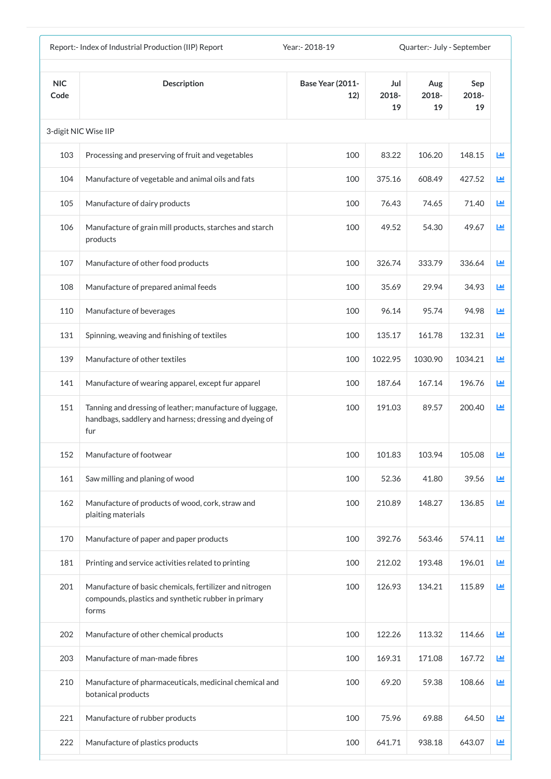|                    | Report:- Index of Industrial Production (IIP) Report                                                                      | Year: - 2018-19                |                    | Quarter:- July - September |                    |          |
|--------------------|---------------------------------------------------------------------------------------------------------------------------|--------------------------------|--------------------|----------------------------|--------------------|----------|
| <b>NIC</b><br>Code | <b>Description</b>                                                                                                        | <b>Base Year (2011-</b><br>12) | Jul<br>2018-<br>19 | Aug<br>2018-<br>19         | Sep<br>2018-<br>19 |          |
|                    | 3-digit NIC Wise IIP                                                                                                      |                                |                    |                            |                    |          |
| 103                | Processing and preserving of fruit and vegetables                                                                         | 100                            | 83.22              | 106.20                     | 148.15             | 匝        |
| 104                | Manufacture of vegetable and animal oils and fats                                                                         | 100                            | 375.16             | 608.49                     | 427.52             | 匝        |
| 105                | Manufacture of dairy products                                                                                             | 100                            | 76.43              | 74.65                      | 71.40              | 國        |
| 106                | Manufacture of grain mill products, starches and starch<br>products                                                       | 100                            | 49.52              | 54.30                      | 49.67              | 画        |
| 107                | Manufacture of other food products                                                                                        | 100                            | 326.74             | 333.79                     | 336.64             | 匝        |
| 108                | Manufacture of prepared animal feeds                                                                                      | 100                            | 35.69              | 29.94                      | 34.93              | 匝        |
| 110                | Manufacture of beverages                                                                                                  | 100                            | 96.14              | 95.74                      | 94.98              | <b>M</b> |
| 131                | Spinning, weaving and finishing of textiles                                                                               | 100                            | 135.17             | 161.78                     | 132.31             | 画        |
| 139                | Manufacture of other textiles                                                                                             | 100                            | 1022.95            | 1030.90                    | 1034.21            | ш        |
| 141                | Manufacture of wearing apparel, except fur apparel                                                                        | 100                            | 187.64             | 167.14                     | 196.76             | ш        |
| 151                | Tanning and dressing of leather; manufacture of luggage,<br>handbags, saddlery and harness; dressing and dyeing of<br>fur | 100                            | 191.03             | 89.57                      | 200.40             | ĿЩ       |
| 152                | Manufacture of footwear                                                                                                   | 100                            | 101.83             | 103.94                     | 105.08             | 画        |
| 161                | Saw milling and planing of wood                                                                                           | 100                            | 52.36              | 41.80                      | 39.56              | 画        |
| 162                | Manufacture of products of wood, cork, straw and<br>plaiting materials                                                    | 100                            | 210.89             | 148.27                     | 136.85             | 匝        |
| 170                | Manufacture of paper and paper products                                                                                   | 100                            | 392.76             | 563.46                     | 574.11             | 画        |
| 181                | Printing and service activities related to printing                                                                       | 100                            | 212.02             | 193.48                     | 196.01             | 画        |
| 201                | Manufacture of basic chemicals, fertilizer and nitrogen<br>compounds, plastics and synthetic rubber in primary<br>forms   | 100                            | 126.93             | 134.21                     | 115.89             | 画        |
| 202                | Manufacture of other chemical products                                                                                    | 100                            | 122.26             | 113.32                     | 114.66             | 画        |
| 203                | Manufacture of man-made fibres                                                                                            | 100                            | 169.31             | 171.08                     | 167.72             | 画        |
| 210                | Manufacture of pharmaceuticals, medicinal chemical and<br>botanical products                                              | 100                            | 69.20              | 59.38                      | 108.66             | 画        |
| 221                | Manufacture of rubber products                                                                                            | 100                            | 75.96              | 69.88                      | 64.50              | 画        |
| 222                | Manufacture of plastics products                                                                                          | 100                            | 641.71             | 938.18                     | 643.07             | 画        |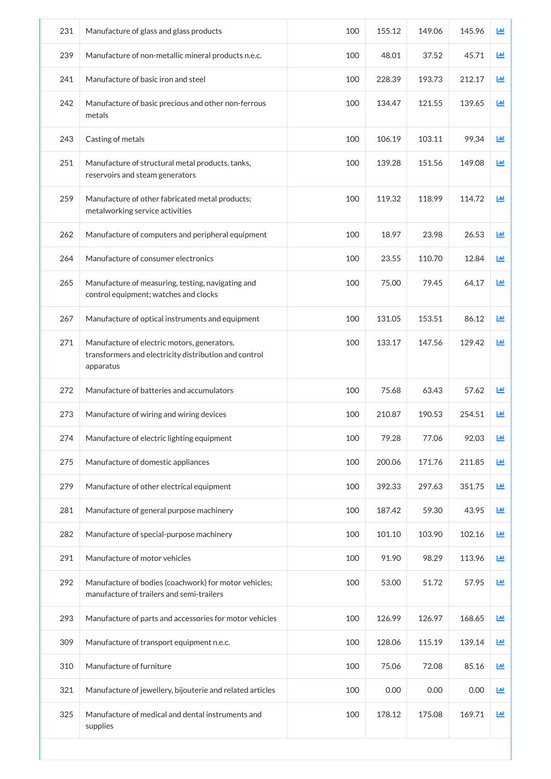| 231 | Manufacture of glass and glass products                                                                           | 100 | 155.12 | 149.06 | 145.96 | Ш          |
|-----|-------------------------------------------------------------------------------------------------------------------|-----|--------|--------|--------|------------|
| 239 | Manufacture of non-metallic mineral products n.e.c.                                                               | 100 | 48.01  | 37.52  | 45.71  | ĿЩ         |
| 241 | Manufacture of basic iron and steel                                                                               | 100 | 228.39 | 193.73 | 212.17 | ĿЩ         |
| 242 | Manufacture of basic precious and other non-ferrous<br>metals                                                     | 100 | 134.47 | 121.55 | 139.65 | ĿЩ         |
| 243 | Casting of metals                                                                                                 | 100 | 106.19 | 103.11 | 99.34  | <b>Lul</b> |
| 251 | Manufacture of structural metal products, tanks,<br>reservoirs and steam generators                               | 100 | 139.28 | 151.56 | 149.08 | 画          |
| 259 | Manufacture of other fabricated metal products;<br>metalworking service activities                                | 100 | 119.32 | 118.99 | 114.72 | ĿШ         |
| 262 | Manufacture of computers and peripheral equipment                                                                 | 100 | 18.97  | 23.98  | 26.53  | 画          |
| 264 | Manufacture of consumer electronics                                                                               | 100 | 23.55  | 110.70 | 12.84  | 画          |
| 265 | Manufacture of measuring, testing, navigating and<br>control equipment; watches and clocks                        | 100 | 75.00  | 79.45  | 64.17  | 画          |
| 267 | Manufacture of optical instruments and equipment                                                                  | 100 | 131.05 | 153.51 | 86.12  | ĿЩ         |
| 271 | Manufacture of electric motors, generators,<br>transformers and electricity distribution and control<br>apparatus | 100 | 133.17 | 147.56 | 129.42 | <b>Lut</b> |
| 272 | Manufacture of batteries and accumulators                                                                         | 100 | 75.68  | 63.43  | 57.62  | ĿЩ         |
| 273 | Manufacture of wiring and wiring devices                                                                          | 100 | 210.87 | 190.53 | 254.51 | ĿЩ         |
| 274 | Manufacture of electric lighting equipment                                                                        | 100 | 79.28  | 77.06  | 92.03  | 画          |
| 275 | Manufacture of domestic appliances                                                                                | 100 | 200.06 | 171.76 | 211.85 | 画          |
| 279 | Manufacture of other electrical equipment                                                                         | 100 | 392.33 | 297.63 | 351.75 | 画          |
| 281 | Manufacture of general purpose machinery                                                                          | 100 | 187.42 | 59.30  | 43.95  | 画          |
| 282 | Manufacture of special-purpose machinery                                                                          | 100 | 101.10 | 103.90 | 102.16 | 画          |
| 291 | Manufacture of motor vehicles                                                                                     | 100 | 91.90  | 98.29  | 113.96 | 画          |
| 292 | Manufacture of bodies (coachwork) for motor vehicles;<br>manufacture of trailers and semi-trailers                | 100 | 53.00  | 51.72  | 57.95  | 画          |
| 293 | Manufacture of parts and accessories for motor vehicles                                                           | 100 | 126.99 | 126.97 | 168.65 | 画          |
| 309 | Manufacture of transport equipment n.e.c.                                                                         | 100 | 128.06 | 115.19 | 139.14 | 画          |
| 310 | Manufacture of furniture                                                                                          | 100 | 75.06  | 72.08  | 85.16  | 画          |
| 321 | Manufacture of jewellery, bijouterie and related articles                                                         | 100 | 0.00   | 0.00   | 0.00   | 画          |
| 325 | Manufacture of medical and dental instruments and<br>supplies                                                     | 100 | 178.12 | 175.08 | 169.71 | ĿЩ         |
|     |                                                                                                                   |     |        |        |        |            |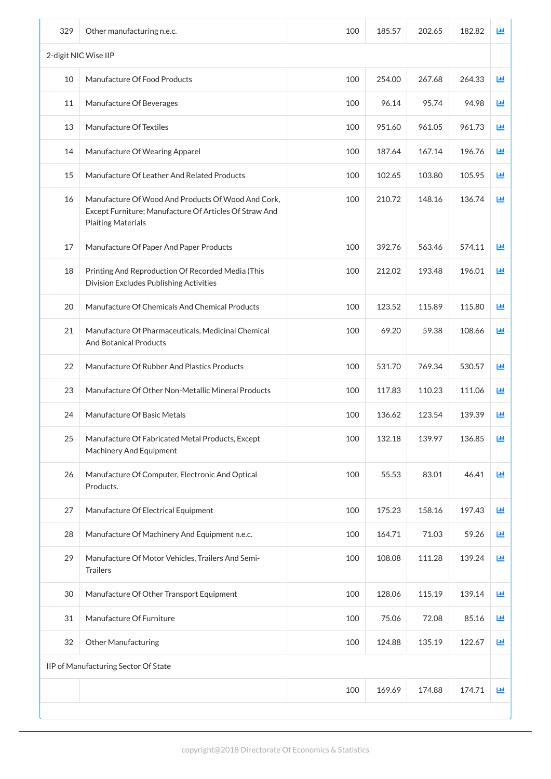| 329 | Other manufacturing n.e.c.                                                                                                                | 100 | 185.57 | 202.65 | 182.82 | 画            |
|-----|-------------------------------------------------------------------------------------------------------------------------------------------|-----|--------|--------|--------|--------------|
|     | 2-digit NIC Wise IIP                                                                                                                      |     |        |        |        |              |
| 10  | Manufacture Of Food Products                                                                                                              | 100 | 254.00 | 267.68 | 264.33 | 画            |
| 11  | Manufacture Of Beverages                                                                                                                  | 100 | 96.14  | 95.74  | 94.98  | ĿЩ           |
| 13  | Manufacture Of Textiles                                                                                                                   | 100 | 951.60 | 961.05 | 961.73 | LЩ           |
| 14  | Manufacture Of Wearing Apparel                                                                                                            | 100 | 187.64 | 167.14 | 196.76 | ĿЩ           |
| 15  | Manufacture Of Leather And Related Products                                                                                               | 100 | 102.65 | 103.80 | 105.95 | 画            |
| 16  | Manufacture Of Wood And Products Of Wood And Cork,<br>Except Furniture; Manufacture Of Articles Of Straw And<br><b>Plaiting Materials</b> | 100 | 210.72 | 148.16 | 136.74 | 画            |
| 17  | Manufacture Of Paper And Paper Products                                                                                                   | 100 | 392.76 | 563.46 | 574.11 | ĿЩ           |
| 18  | Printing And Reproduction Of Recorded Media (This<br>Division Excludes Publishing Activities                                              | 100 | 212.02 | 193.48 | 196.01 | ĿЩ           |
| 20  | Manufacture Of Chemicals And Chemical Products                                                                                            | 100 | 123.52 | 115.89 | 115.80 | 画            |
| 21  | Manufacture Of Pharmaceuticals, Medicinal Chemical<br><b>And Botanical Products</b>                                                       | 100 | 69.20  | 59.38  | 108.66 | LЩ           |
| 22  | Manufacture Of Rubber And Plastics Products                                                                                               | 100 | 531.70 | 769.34 | 530.57 | ĿШ           |
| 23  | Manufacture Of Other Non-Metallic Mineral Products                                                                                        | 100 | 117.83 | 110.23 | 111.06 | ĿШ           |
| 24  | Manufacture Of Basic Metals                                                                                                               | 100 | 136.62 | 123.54 | 139.39 | 画            |
| 25  | Manufacture Of Fabricated Metal Products, Except<br><b>Machinery And Equipment</b>                                                        | 100 | 132.18 | 139.97 | 136.85 | LЩ           |
| 26  | Manufacture Of Computer, Electronic And Optical<br>Products.                                                                              | 100 | 55.53  | 83.01  | 46.41  | LЩ           |
| 27  | Manufacture Of Electrical Equipment                                                                                                       | 100 | 175.23 | 158.16 | 197.43 | 画            |
| 28  | Manufacture Of Machinery And Equipment n.e.c.                                                                                             | 100 | 164.71 | 71.03  | 59.26  | ĿЩ           |
| 29  | Manufacture Of Motor Vehicles, Trailers And Semi-<br><b>Trailers</b>                                                                      | 100 | 108.08 | 111.28 | 139.24 | Щ            |
| 30  | Manufacture Of Other Transport Equipment                                                                                                  | 100 | 128.06 | 115.19 | 139.14 | 画            |
| 31  | Manufacture Of Furniture                                                                                                                  | 100 | 75.06  | 72.08  | 85.16  | $\mathbf{L}$ |
| 32  | <b>Other Manufacturing</b>                                                                                                                | 100 | 124.88 | 135.19 | 122.67 | 画            |
|     | IIP of Manufacturing Sector Of State                                                                                                      |     |        |        |        |              |
|     |                                                                                                                                           | 100 | 169.69 | 174.88 | 174.71 | $\mathbf{L}$ |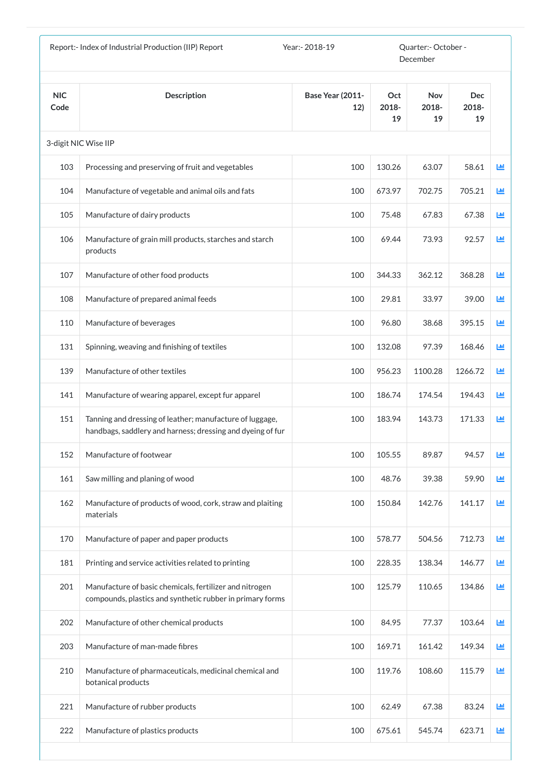| <b>NIC</b><br><b>Base Year (2011-</b><br><b>Description</b><br>Oct<br><b>Nov</b><br><b>Dec</b><br>12)<br>2018-<br>2018-<br>2018-<br>Code<br>19<br>19<br>19<br>3-digit NIC Wise IIP<br>103<br>100<br>130.26<br>63.07<br>58.61<br>Processing and preserving of fruit and vegetables<br>705.21<br>104<br>100<br>673.97<br>702.75<br>Manufacture of vegetable and animal oils and fats<br>105<br>100<br>75.48<br>67.83<br>67.38<br>Manufacture of dairy products<br>73.93<br>92.57<br>106<br>69.44<br>Manufacture of grain mill products, starches and starch<br>100<br>products<br>107<br>100<br>344.33<br>362.12<br>368.28<br>Manufacture of other food products<br>33.97<br>108<br>100<br>29.81<br>39.00<br>Manufacture of prepared animal feeds<br>100<br>96.80<br>38.68<br>395.15<br>110<br>Manufacture of beverages<br>131<br>100<br>132.08<br>97.39<br>168.46<br>Spinning, weaving and finishing of textiles<br>139<br>100<br>956.23<br>1100.28<br>1266.72<br>Manufacture of other textiles<br>141<br>Manufacture of wearing apparel, except fur apparel<br>100<br>186.74<br>174.54<br>194.43<br>151<br>100<br>183.94<br>143.73<br>171.33<br>Tanning and dressing of leather; manufacture of luggage,<br>handbags, saddlery and harness; dressing and dyeing of fur<br>152<br>Manufacture of footwear<br>100<br>105.55<br>89.87<br>94.57<br>39.38<br>161<br>Saw milling and planing of wood<br>100<br>48.76<br>59.90<br>142.76<br>162<br>Manufacture of products of wood, cork, straw and plaiting<br>150.84<br>141.17<br>100<br>materials<br>578.77<br>712.73<br>170<br>Manufacture of paper and paper products<br>100<br>504.56<br>228.35<br>181<br>100<br>138.34<br>146.77<br>Printing and service activities related to printing<br>201<br>Manufacture of basic chemicals, fertilizer and nitrogen<br>100<br>125.79<br>110.65<br>134.86<br>compounds, plastics and synthetic rubber in primary forms<br>202<br>Manufacture of other chemical products<br>100<br>84.95<br>103.64<br>77.37<br>203<br>Manufacture of man-made fibres<br>100<br>169.71<br>161.42<br>149.34<br>210<br>Manufacture of pharmaceuticals, medicinal chemical and<br>100<br>119.76<br>108.60<br>115.79<br>botanical products<br>221<br>Manufacture of rubber products<br>100<br>62.49<br>67.38<br>83.24 |     | Report:- Index of Industrial Production (IIP) Report | Year: - 2018-19 |        | Quarter:- October -<br>December |        |              |
|--------------------------------------------------------------------------------------------------------------------------------------------------------------------------------------------------------------------------------------------------------------------------------------------------------------------------------------------------------------------------------------------------------------------------------------------------------------------------------------------------------------------------------------------------------------------------------------------------------------------------------------------------------------------------------------------------------------------------------------------------------------------------------------------------------------------------------------------------------------------------------------------------------------------------------------------------------------------------------------------------------------------------------------------------------------------------------------------------------------------------------------------------------------------------------------------------------------------------------------------------------------------------------------------------------------------------------------------------------------------------------------------------------------------------------------------------------------------------------------------------------------------------------------------------------------------------------------------------------------------------------------------------------------------------------------------------------------------------------------------------------------------------------------------------------------------------------------------------------------------------------------------------------------------------------------------------------------------------------------------------------------------------------------------------------------------------------------------------------------------------------------------------------------------------------------------------------------------------------------------------------------------------------------|-----|------------------------------------------------------|-----------------|--------|---------------------------------|--------|--------------|
|                                                                                                                                                                                                                                                                                                                                                                                                                                                                                                                                                                                                                                                                                                                                                                                                                                                                                                                                                                                                                                                                                                                                                                                                                                                                                                                                                                                                                                                                                                                                                                                                                                                                                                                                                                                                                                                                                                                                                                                                                                                                                                                                                                                                                                                                                      |     |                                                      |                 |        |                                 |        |              |
|                                                                                                                                                                                                                                                                                                                                                                                                                                                                                                                                                                                                                                                                                                                                                                                                                                                                                                                                                                                                                                                                                                                                                                                                                                                                                                                                                                                                                                                                                                                                                                                                                                                                                                                                                                                                                                                                                                                                                                                                                                                                                                                                                                                                                                                                                      |     |                                                      |                 |        |                                 |        |              |
|                                                                                                                                                                                                                                                                                                                                                                                                                                                                                                                                                                                                                                                                                                                                                                                                                                                                                                                                                                                                                                                                                                                                                                                                                                                                                                                                                                                                                                                                                                                                                                                                                                                                                                                                                                                                                                                                                                                                                                                                                                                                                                                                                                                                                                                                                      |     |                                                      |                 |        |                                 |        | ĿЩ           |
|                                                                                                                                                                                                                                                                                                                                                                                                                                                                                                                                                                                                                                                                                                                                                                                                                                                                                                                                                                                                                                                                                                                                                                                                                                                                                                                                                                                                                                                                                                                                                                                                                                                                                                                                                                                                                                                                                                                                                                                                                                                                                                                                                                                                                                                                                      |     |                                                      |                 |        |                                 |        | 画            |
|                                                                                                                                                                                                                                                                                                                                                                                                                                                                                                                                                                                                                                                                                                                                                                                                                                                                                                                                                                                                                                                                                                                                                                                                                                                                                                                                                                                                                                                                                                                                                                                                                                                                                                                                                                                                                                                                                                                                                                                                                                                                                                                                                                                                                                                                                      |     |                                                      |                 |        |                                 |        | LЩ           |
|                                                                                                                                                                                                                                                                                                                                                                                                                                                                                                                                                                                                                                                                                                                                                                                                                                                                                                                                                                                                                                                                                                                                                                                                                                                                                                                                                                                                                                                                                                                                                                                                                                                                                                                                                                                                                                                                                                                                                                                                                                                                                                                                                                                                                                                                                      |     |                                                      |                 |        |                                 |        | LЩ           |
|                                                                                                                                                                                                                                                                                                                                                                                                                                                                                                                                                                                                                                                                                                                                                                                                                                                                                                                                                                                                                                                                                                                                                                                                                                                                                                                                                                                                                                                                                                                                                                                                                                                                                                                                                                                                                                                                                                                                                                                                                                                                                                                                                                                                                                                                                      |     |                                                      |                 |        |                                 |        | Ш            |
|                                                                                                                                                                                                                                                                                                                                                                                                                                                                                                                                                                                                                                                                                                                                                                                                                                                                                                                                                                                                                                                                                                                                                                                                                                                                                                                                                                                                                                                                                                                                                                                                                                                                                                                                                                                                                                                                                                                                                                                                                                                                                                                                                                                                                                                                                      |     |                                                      |                 |        |                                 |        | 画            |
|                                                                                                                                                                                                                                                                                                                                                                                                                                                                                                                                                                                                                                                                                                                                                                                                                                                                                                                                                                                                                                                                                                                                                                                                                                                                                                                                                                                                                                                                                                                                                                                                                                                                                                                                                                                                                                                                                                                                                                                                                                                                                                                                                                                                                                                                                      |     |                                                      |                 |        |                                 |        | 画            |
|                                                                                                                                                                                                                                                                                                                                                                                                                                                                                                                                                                                                                                                                                                                                                                                                                                                                                                                                                                                                                                                                                                                                                                                                                                                                                                                                                                                                                                                                                                                                                                                                                                                                                                                                                                                                                                                                                                                                                                                                                                                                                                                                                                                                                                                                                      |     |                                                      |                 |        |                                 |        | ĿЩ           |
|                                                                                                                                                                                                                                                                                                                                                                                                                                                                                                                                                                                                                                                                                                                                                                                                                                                                                                                                                                                                                                                                                                                                                                                                                                                                                                                                                                                                                                                                                                                                                                                                                                                                                                                                                                                                                                                                                                                                                                                                                                                                                                                                                                                                                                                                                      |     |                                                      |                 |        |                                 |        | Ш            |
|                                                                                                                                                                                                                                                                                                                                                                                                                                                                                                                                                                                                                                                                                                                                                                                                                                                                                                                                                                                                                                                                                                                                                                                                                                                                                                                                                                                                                                                                                                                                                                                                                                                                                                                                                                                                                                                                                                                                                                                                                                                                                                                                                                                                                                                                                      |     |                                                      |                 |        |                                 |        | 画            |
|                                                                                                                                                                                                                                                                                                                                                                                                                                                                                                                                                                                                                                                                                                                                                                                                                                                                                                                                                                                                                                                                                                                                                                                                                                                                                                                                                                                                                                                                                                                                                                                                                                                                                                                                                                                                                                                                                                                                                                                                                                                                                                                                                                                                                                                                                      |     |                                                      |                 |        |                                 |        | LЩ           |
|                                                                                                                                                                                                                                                                                                                                                                                                                                                                                                                                                                                                                                                                                                                                                                                                                                                                                                                                                                                                                                                                                                                                                                                                                                                                                                                                                                                                                                                                                                                                                                                                                                                                                                                                                                                                                                                                                                                                                                                                                                                                                                                                                                                                                                                                                      |     |                                                      |                 |        |                                 |        | LЩ           |
|                                                                                                                                                                                                                                                                                                                                                                                                                                                                                                                                                                                                                                                                                                                                                                                                                                                                                                                                                                                                                                                                                                                                                                                                                                                                                                                                                                                                                                                                                                                                                                                                                                                                                                                                                                                                                                                                                                                                                                                                                                                                                                                                                                                                                                                                                      |     |                                                      |                 |        |                                 |        | LЩ           |
|                                                                                                                                                                                                                                                                                                                                                                                                                                                                                                                                                                                                                                                                                                                                                                                                                                                                                                                                                                                                                                                                                                                                                                                                                                                                                                                                                                                                                                                                                                                                                                                                                                                                                                                                                                                                                                                                                                                                                                                                                                                                                                                                                                                                                                                                                      |     |                                                      |                 |        |                                 |        | ĿЩ           |
|                                                                                                                                                                                                                                                                                                                                                                                                                                                                                                                                                                                                                                                                                                                                                                                                                                                                                                                                                                                                                                                                                                                                                                                                                                                                                                                                                                                                                                                                                                                                                                                                                                                                                                                                                                                                                                                                                                                                                                                                                                                                                                                                                                                                                                                                                      |     |                                                      |                 |        |                                 |        | 画            |
|                                                                                                                                                                                                                                                                                                                                                                                                                                                                                                                                                                                                                                                                                                                                                                                                                                                                                                                                                                                                                                                                                                                                                                                                                                                                                                                                                                                                                                                                                                                                                                                                                                                                                                                                                                                                                                                                                                                                                                                                                                                                                                                                                                                                                                                                                      |     |                                                      |                 |        |                                 |        | 画            |
|                                                                                                                                                                                                                                                                                                                                                                                                                                                                                                                                                                                                                                                                                                                                                                                                                                                                                                                                                                                                                                                                                                                                                                                                                                                                                                                                                                                                                                                                                                                                                                                                                                                                                                                                                                                                                                                                                                                                                                                                                                                                                                                                                                                                                                                                                      |     |                                                      |                 |        |                                 |        | 画            |
|                                                                                                                                                                                                                                                                                                                                                                                                                                                                                                                                                                                                                                                                                                                                                                                                                                                                                                                                                                                                                                                                                                                                                                                                                                                                                                                                                                                                                                                                                                                                                                                                                                                                                                                                                                                                                                                                                                                                                                                                                                                                                                                                                                                                                                                                                      |     |                                                      |                 |        |                                 |        | 画            |
|                                                                                                                                                                                                                                                                                                                                                                                                                                                                                                                                                                                                                                                                                                                                                                                                                                                                                                                                                                                                                                                                                                                                                                                                                                                                                                                                                                                                                                                                                                                                                                                                                                                                                                                                                                                                                                                                                                                                                                                                                                                                                                                                                                                                                                                                                      |     |                                                      |                 |        |                                 |        | LЩ           |
|                                                                                                                                                                                                                                                                                                                                                                                                                                                                                                                                                                                                                                                                                                                                                                                                                                                                                                                                                                                                                                                                                                                                                                                                                                                                                                                                                                                                                                                                                                                                                                                                                                                                                                                                                                                                                                                                                                                                                                                                                                                                                                                                                                                                                                                                                      |     |                                                      |                 |        |                                 |        | 画            |
|                                                                                                                                                                                                                                                                                                                                                                                                                                                                                                                                                                                                                                                                                                                                                                                                                                                                                                                                                                                                                                                                                                                                                                                                                                                                                                                                                                                                                                                                                                                                                                                                                                                                                                                                                                                                                                                                                                                                                                                                                                                                                                                                                                                                                                                                                      |     |                                                      |                 |        |                                 |        | 画            |
|                                                                                                                                                                                                                                                                                                                                                                                                                                                                                                                                                                                                                                                                                                                                                                                                                                                                                                                                                                                                                                                                                                                                                                                                                                                                                                                                                                                                                                                                                                                                                                                                                                                                                                                                                                                                                                                                                                                                                                                                                                                                                                                                                                                                                                                                                      | 222 | Manufacture of plastics products                     | 100             | 675.61 | 545.74                          | 623.71 | $\mathbf{L}$ |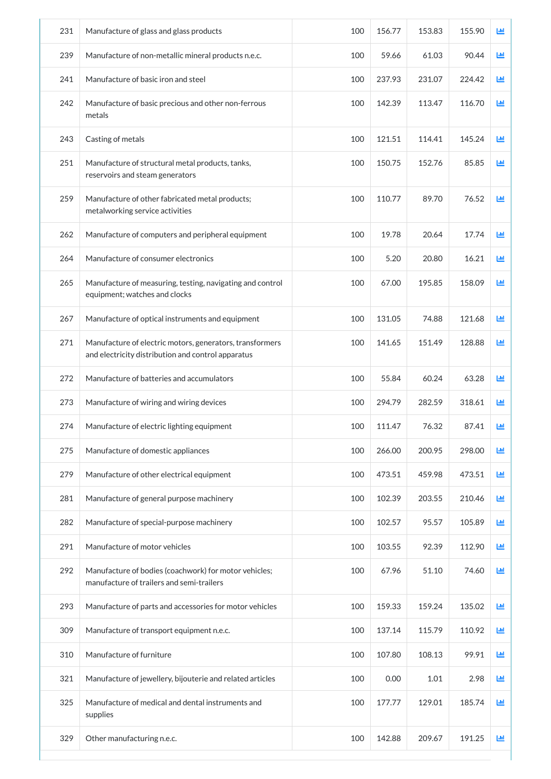| 231 | Manufacture of glass and glass products                                                                        | 100 | 156.77 | 153.83 | 155.90 | ш |
|-----|----------------------------------------------------------------------------------------------------------------|-----|--------|--------|--------|---|
| 239 | Manufacture of non-metallic mineral products n.e.c.                                                            | 100 | 59.66  | 61.03  | 90.44  | ш |
| 241 | Manufacture of basic iron and steel                                                                            | 100 | 237.93 | 231.07 | 224.42 | 画 |
| 242 | Manufacture of basic precious and other non-ferrous<br>metals                                                  | 100 | 142.39 | 113.47 | 116.70 | 匝 |
| 243 | Casting of metals                                                                                              | 100 | 121.51 | 114.41 | 145.24 | 画 |
| 251 | Manufacture of structural metal products, tanks,<br>reservoirs and steam generators                            | 100 | 150.75 | 152.76 | 85.85  | 画 |
| 259 | Manufacture of other fabricated metal products;<br>metalworking service activities                             | 100 | 110.77 | 89.70  | 76.52  | 國 |
| 262 | Manufacture of computers and peripheral equipment                                                              | 100 | 19.78  | 20.64  | 17.74  | 國 |
| 264 | Manufacture of consumer electronics                                                                            | 100 | 5.20   | 20.80  | 16.21  | 画 |
| 265 | Manufacture of measuring, testing, navigating and control<br>equipment; watches and clocks                     | 100 | 67.00  | 195.85 | 158.09 | 画 |
| 267 | Manufacture of optical instruments and equipment                                                               | 100 | 131.05 | 74.88  | 121.68 | 画 |
| 271 | Manufacture of electric motors, generators, transformers<br>and electricity distribution and control apparatus | 100 | 141.65 | 151.49 | 128.88 | 画 |
| 272 | Manufacture of batteries and accumulators                                                                      | 100 | 55.84  | 60.24  | 63.28  | 画 |
| 273 | Manufacture of wiring and wiring devices                                                                       | 100 | 294.79 | 282.59 | 318.61 | 画 |
| 274 | Manufacture of electric lighting equipment                                                                     | 100 | 111.47 | 76.32  | 87.41  | ш |
| 275 | Manufacture of domestic appliances                                                                             | 100 | 266.00 | 200.95 | 298.00 | 画 |
| 279 | Manufacture of other electrical equipment                                                                      | 100 | 473.51 | 459.98 | 473.51 | 画 |
| 281 | Manufacture of general purpose machinery                                                                       | 100 | 102.39 | 203.55 | 210.46 | 画 |
| 282 | Manufacture of special-purpose machinery                                                                       | 100 | 102.57 | 95.57  | 105.89 | 画 |
| 291 | Manufacture of motor vehicles                                                                                  | 100 | 103.55 | 92.39  | 112.90 | 画 |
| 292 | Manufacture of bodies (coachwork) for motor vehicles;<br>manufacture of trailers and semi-trailers             | 100 | 67.96  | 51.10  | 74.60  | 画 |
| 293 | Manufacture of parts and accessories for motor vehicles                                                        | 100 | 159.33 | 159.24 | 135.02 | 國 |
| 309 | Manufacture of transport equipment n.e.c.                                                                      | 100 | 137.14 | 115.79 | 110.92 | 画 |
| 310 | Manufacture of furniture                                                                                       | 100 | 107.80 | 108.13 | 99.91  | 画 |
| 321 | Manufacture of jewellery, bijouterie and related articles                                                      | 100 | 0.00   | 1.01   | 2.98   | 画 |
| 325 | Manufacture of medical and dental instruments and<br>supplies                                                  | 100 | 177.77 | 129.01 | 185.74 | 画 |
| 329 | Other manufacturing n.e.c.                                                                                     | 100 | 142.88 | 209.67 | 191.25 | 國 |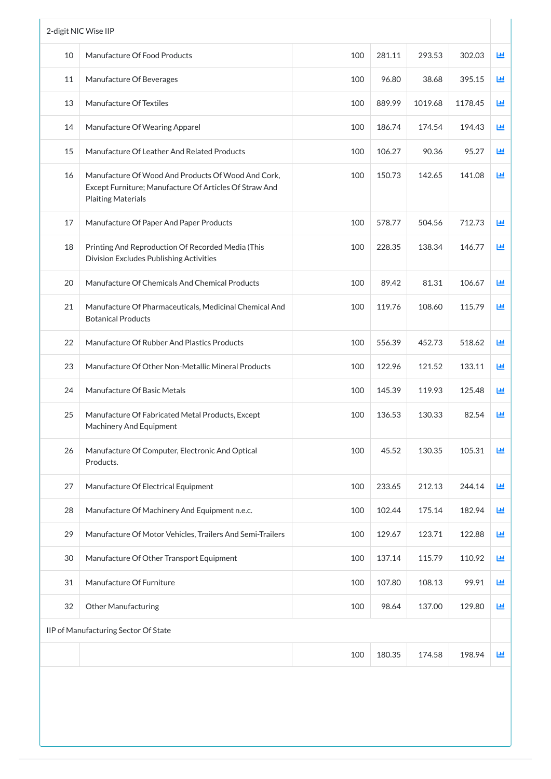| 10<br>11<br>13<br>14<br>15<br>16<br>17<br>18<br>20<br>21<br>22<br>23<br>24<br>25 | Manufacture Of Food Products<br>Manufacture Of Beverages<br><b>Manufacture Of Textiles</b><br>Manufacture Of Wearing Apparel<br>Manufacture Of Leather And Related Products<br>Manufacture Of Wood And Products Of Wood And Cork,<br>Except Furniture; Manufacture Of Articles Of Straw And<br><b>Plaiting Materials</b><br>Manufacture Of Paper And Paper Products<br>Printing And Reproduction Of Recorded Media (This<br>Division Excludes Publishing Activities<br>Manufacture Of Chemicals And Chemical Products<br>Manufacture Of Pharmaceuticals, Medicinal Chemical And<br><b>Botanical Products</b><br>Manufacture Of Rubber And Plastics Products<br>Manufacture Of Other Non-Metallic Mineral Products | 100<br>100<br>100<br>100<br>100<br>100<br>100<br>100<br>100<br>100<br>100 | 281.11<br>96.80<br>889.99<br>186.74<br>106.27<br>150.73<br>578.77<br>228.35<br>89.42<br>119.76 | 293.53<br>38.68<br>1019.68<br>174.54<br>90.36<br>142.65<br>504.56<br>138.34<br>81.31<br>108.60 | 302.03<br>395.15<br>1178.45<br>194.43<br>95.27<br>141.08<br>712.73<br>146.77<br>106.67 | 画<br><u>ы</u><br>ĿЩ<br>ĿЩ<br><b>Lid</b><br>画<br><b>Ltd</b><br>画<br>画 |
|----------------------------------------------------------------------------------|-------------------------------------------------------------------------------------------------------------------------------------------------------------------------------------------------------------------------------------------------------------------------------------------------------------------------------------------------------------------------------------------------------------------------------------------------------------------------------------------------------------------------------------------------------------------------------------------------------------------------------------------------------------------------------------------------------------------|---------------------------------------------------------------------------|------------------------------------------------------------------------------------------------|------------------------------------------------------------------------------------------------|----------------------------------------------------------------------------------------|----------------------------------------------------------------------|
|                                                                                  |                                                                                                                                                                                                                                                                                                                                                                                                                                                                                                                                                                                                                                                                                                                   |                                                                           |                                                                                                |                                                                                                |                                                                                        |                                                                      |
|                                                                                  |                                                                                                                                                                                                                                                                                                                                                                                                                                                                                                                                                                                                                                                                                                                   |                                                                           |                                                                                                |                                                                                                |                                                                                        |                                                                      |
|                                                                                  |                                                                                                                                                                                                                                                                                                                                                                                                                                                                                                                                                                                                                                                                                                                   |                                                                           |                                                                                                |                                                                                                |                                                                                        |                                                                      |
|                                                                                  |                                                                                                                                                                                                                                                                                                                                                                                                                                                                                                                                                                                                                                                                                                                   |                                                                           |                                                                                                |                                                                                                |                                                                                        |                                                                      |
|                                                                                  |                                                                                                                                                                                                                                                                                                                                                                                                                                                                                                                                                                                                                                                                                                                   |                                                                           |                                                                                                |                                                                                                |                                                                                        |                                                                      |
|                                                                                  |                                                                                                                                                                                                                                                                                                                                                                                                                                                                                                                                                                                                                                                                                                                   |                                                                           |                                                                                                |                                                                                                |                                                                                        |                                                                      |
|                                                                                  |                                                                                                                                                                                                                                                                                                                                                                                                                                                                                                                                                                                                                                                                                                                   |                                                                           |                                                                                                |                                                                                                |                                                                                        |                                                                      |
|                                                                                  |                                                                                                                                                                                                                                                                                                                                                                                                                                                                                                                                                                                                                                                                                                                   |                                                                           |                                                                                                |                                                                                                |                                                                                        |                                                                      |
|                                                                                  |                                                                                                                                                                                                                                                                                                                                                                                                                                                                                                                                                                                                                                                                                                                   |                                                                           |                                                                                                |                                                                                                |                                                                                        |                                                                      |
|                                                                                  |                                                                                                                                                                                                                                                                                                                                                                                                                                                                                                                                                                                                                                                                                                                   |                                                                           |                                                                                                |                                                                                                | 115.79                                                                                 | Ш                                                                    |
|                                                                                  |                                                                                                                                                                                                                                                                                                                                                                                                                                                                                                                                                                                                                                                                                                                   |                                                                           | 556.39                                                                                         | 452.73                                                                                         | 518.62                                                                                 | ĿЩ                                                                   |
|                                                                                  |                                                                                                                                                                                                                                                                                                                                                                                                                                                                                                                                                                                                                                                                                                                   | 100                                                                       | 122.96                                                                                         | 121.52                                                                                         | 133.11                                                                                 | ĿЩ                                                                   |
|                                                                                  | Manufacture Of Basic Metals                                                                                                                                                                                                                                                                                                                                                                                                                                                                                                                                                                                                                                                                                       | 100                                                                       | 145.39                                                                                         | 119.93                                                                                         | 125.48                                                                                 | <b>Lid</b>                                                           |
|                                                                                  | Manufacture Of Fabricated Metal Products, Except<br><b>Machinery And Equipment</b>                                                                                                                                                                                                                                                                                                                                                                                                                                                                                                                                                                                                                                | 100                                                                       | 136.53                                                                                         | 130.33                                                                                         | 82.54                                                                                  | <b>Lid</b>                                                           |
| 26<br>Products.                                                                  | Manufacture Of Computer, Electronic And Optical                                                                                                                                                                                                                                                                                                                                                                                                                                                                                                                                                                                                                                                                   | 100                                                                       | 45.52                                                                                          | 130.35                                                                                         | 105.31                                                                                 | ĿЩ                                                                   |
| 27                                                                               | Manufacture Of Electrical Equipment                                                                                                                                                                                                                                                                                                                                                                                                                                                                                                                                                                                                                                                                               | 100                                                                       | 233.65                                                                                         | 212.13                                                                                         | 244.14                                                                                 | ĿЩ                                                                   |
| 28                                                                               | Manufacture Of Machinery And Equipment n.e.c.                                                                                                                                                                                                                                                                                                                                                                                                                                                                                                                                                                                                                                                                     | 100                                                                       | 102.44                                                                                         | 175.14                                                                                         | 182.94                                                                                 | 画                                                                    |
| 29                                                                               | Manufacture Of Motor Vehicles, Trailers And Semi-Trailers                                                                                                                                                                                                                                                                                                                                                                                                                                                                                                                                                                                                                                                         | 100                                                                       | 129.67                                                                                         | 123.71                                                                                         | 122.88                                                                                 | ĿЩ                                                                   |
| 30                                                                               | Manufacture Of Other Transport Equipment                                                                                                                                                                                                                                                                                                                                                                                                                                                                                                                                                                                                                                                                          | 100                                                                       | 137.14                                                                                         | 115.79                                                                                         | 110.92                                                                                 | 画                                                                    |
| 31                                                                               | Manufacture Of Furniture                                                                                                                                                                                                                                                                                                                                                                                                                                                                                                                                                                                                                                                                                          | 100                                                                       | 107.80                                                                                         | 108.13                                                                                         | 99.91                                                                                  | 画                                                                    |
| 32                                                                               | <b>Other Manufacturing</b>                                                                                                                                                                                                                                                                                                                                                                                                                                                                                                                                                                                                                                                                                        | 100                                                                       | 98.64                                                                                          | 137.00                                                                                         | 129.80                                                                                 | 画                                                                    |
|                                                                                  | IIP of Manufacturing Sector Of State                                                                                                                                                                                                                                                                                                                                                                                                                                                                                                                                                                                                                                                                              |                                                                           |                                                                                                |                                                                                                |                                                                                        |                                                                      |
|                                                                                  |                                                                                                                                                                                                                                                                                                                                                                                                                                                                                                                                                                                                                                                                                                                   | 100                                                                       | 180.35                                                                                         | 174.58                                                                                         | 198.94                                                                                 | <b>Lul</b>                                                           |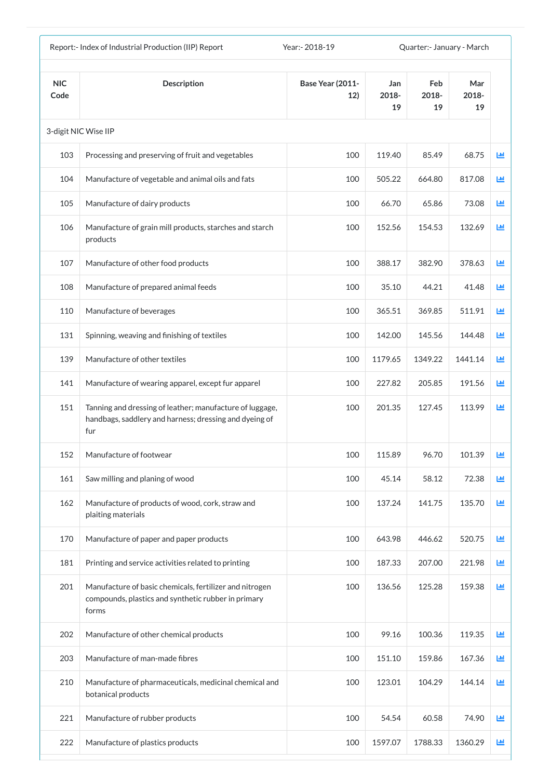|                    | Report:- Index of Industrial Production (IIP) Report                                                                      | Year: - 2018-19                |                    | Quarter: January - March |                    |            |
|--------------------|---------------------------------------------------------------------------------------------------------------------------|--------------------------------|--------------------|--------------------------|--------------------|------------|
| <b>NIC</b><br>Code | <b>Description</b>                                                                                                        | <b>Base Year (2011-</b><br>12) | Jan<br>2018-<br>19 | Feb<br>2018-<br>19       | Mar<br>2018-<br>19 |            |
|                    | 3-digit NIC Wise IIP                                                                                                      |                                |                    |                          |                    |            |
| 103                | Processing and preserving of fruit and vegetables                                                                         | 100                            | 119.40             | 85.49                    | 68.75              | <u>Lul</u> |
| 104                | Manufacture of vegetable and animal oils and fats                                                                         | 100                            | 505.22             | 664.80                   | 817.08             | 画          |
| 105                | Manufacture of dairy products                                                                                             | 100                            | 66.70              | 65.86                    | 73.08              | 画          |
| 106                | Manufacture of grain mill products, starches and starch<br>products                                                       | 100                            | 152.56             | 154.53                   | 132.69             | 匝          |
| 107                | Manufacture of other food products                                                                                        | 100                            | 388.17             | 382.90                   | 378.63             | 画          |
| 108                | Manufacture of prepared animal feeds                                                                                      | 100                            | 35.10              | 44.21                    | 41.48              | 画          |
| 110                | Manufacture of beverages                                                                                                  | 100                            | 365.51             | 369.85                   | 511.91             | <b>M</b>   |
| 131                | Spinning, weaving and finishing of textiles                                                                               | 100                            | 142.00             | 145.56                   | 144.48             | 國          |
| 139                | Manufacture of other textiles                                                                                             | 100                            | 1179.65            | 1349.22                  | 1441.14            | Ш          |
| 141                | Manufacture of wearing apparel, except fur apparel                                                                        | 100                            | 227.82             | 205.85                   | 191.56             | Ш          |
| 151                | Tanning and dressing of leather; manufacture of luggage,<br>handbags, saddlery and harness; dressing and dyeing of<br>fur | 100                            | 201.35             | 127.45                   | 113.99             | 匝          |
| 152                | Manufacture of footwear                                                                                                   | 100                            | 115.89             | 96.70                    | 101.39             | Ш          |
| 161                | Saw milling and planing of wood                                                                                           | 100                            | 45.14              | 58.12                    | 72.38              | 画          |
| 162                | Manufacture of products of wood, cork, straw and<br>plaiting materials                                                    | 100                            | 137.24             | 141.75                   | 135.70             | 画          |
| 170                | Manufacture of paper and paper products                                                                                   | 100                            | 643.98             | 446.62                   | 520.75             | 画          |
| 181                | Printing and service activities related to printing                                                                       | 100                            | 187.33             | 207.00                   | 221.98             | 画          |
| 201                | Manufacture of basic chemicals, fertilizer and nitrogen<br>compounds, plastics and synthetic rubber in primary<br>forms   | 100                            | 136.56             | 125.28                   | 159.38             | 画          |
| 202                | Manufacture of other chemical products                                                                                    | 100                            | 99.16              | 100.36                   | 119.35             | 画          |
| 203                | Manufacture of man-made fibres                                                                                            | 100                            | 151.10             | 159.86                   | 167.36             | 画          |
| 210                | Manufacture of pharmaceuticals, medicinal chemical and<br>botanical products                                              | 100                            | 123.01             | 104.29                   | 144.14             | 画          |
| 221                | Manufacture of rubber products                                                                                            | 100                            | 54.54              | 60.58                    | 74.90              | 画          |
| 222                | Manufacture of plastics products                                                                                          | 100                            | 1597.07            | 1788.33                  | 1360.29            | 画          |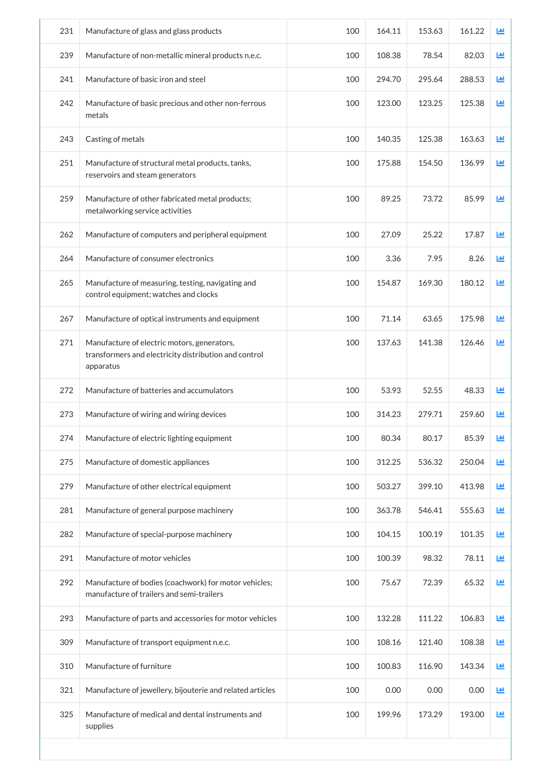| 231 | Manufacture of glass and glass products                                                                           | 100 | 164.11 | 153.63 | 161.22 | Ш          |
|-----|-------------------------------------------------------------------------------------------------------------------|-----|--------|--------|--------|------------|
| 239 | Manufacture of non-metallic mineral products n.e.c.                                                               | 100 | 108.38 | 78.54  | 82.03  | ĿЩ         |
| 241 | Manufacture of basic iron and steel                                                                               | 100 | 294.70 | 295.64 | 288.53 | ĿЩ         |
| 242 | Manufacture of basic precious and other non-ferrous<br>metals                                                     | 100 | 123.00 | 123.25 | 125.38 | ĿЩ         |
| 243 | Casting of metals                                                                                                 | 100 | 140.35 | 125.38 | 163.63 | <b>Lul</b> |
| 251 | Manufacture of structural metal products, tanks,<br>reservoirs and steam generators                               | 100 | 175.88 | 154.50 | 136.99 | 画          |
| 259 | Manufacture of other fabricated metal products;<br>metalworking service activities                                | 100 | 89.25  | 73.72  | 85.99  | <b>Lul</b> |
| 262 | Manufacture of computers and peripheral equipment                                                                 | 100 | 27.09  | 25.22  | 17.87  | 画          |
| 264 | Manufacture of consumer electronics                                                                               | 100 | 3.36   | 7.95   | 8.26   | 画          |
| 265 | Manufacture of measuring, testing, navigating and<br>control equipment; watches and clocks                        | 100 | 154.87 | 169.30 | 180.12 | 画          |
| 267 | Manufacture of optical instruments and equipment                                                                  | 100 | 71.14  | 63.65  | 175.98 | ĿЩ         |
| 271 | Manufacture of electric motors, generators,<br>transformers and electricity distribution and control<br>apparatus | 100 | 137.63 | 141.38 | 126.46 | ĿЩ         |
| 272 | Manufacture of batteries and accumulators                                                                         | 100 | 53.93  | 52.55  | 48.33  | ĿЩ         |
| 273 | Manufacture of wiring and wiring devices                                                                          | 100 | 314.23 | 279.71 | 259.60 | ĿЩ         |
| 274 | Manufacture of electric lighting equipment                                                                        | 100 | 80.34  | 80.17  | 85.39  | ĿЩ         |
| 275 | Manufacture of domestic appliances                                                                                | 100 | 312.25 | 536.32 | 250.04 | Ш          |
| 279 | Manufacture of other electrical equipment                                                                         | 100 | 503.27 | 399.10 | 413.98 | 画          |
| 281 | Manufacture of general purpose machinery                                                                          | 100 | 363.78 | 546.41 | 555.63 | 画          |
| 282 | Manufacture of special-purpose machinery                                                                          | 100 | 104.15 | 100.19 | 101.35 | 画          |
| 291 | Manufacture of motor vehicles                                                                                     | 100 | 100.39 | 98.32  | 78.11  | 画          |
| 292 | Manufacture of bodies (coachwork) for motor vehicles;<br>manufacture of trailers and semi-trailers                | 100 | 75.67  | 72.39  | 65.32  | 画          |
| 293 | Manufacture of parts and accessories for motor vehicles                                                           | 100 | 132.28 | 111.22 | 106.83 | 画          |
| 309 | Manufacture of transport equipment n.e.c.                                                                         | 100 | 108.16 | 121.40 | 108.38 | 画          |
| 310 | Manufacture of furniture                                                                                          | 100 | 100.83 | 116.90 | 143.34 | 画          |
| 321 | Manufacture of jewellery, bijouterie and related articles                                                         | 100 | 0.00   | 0.00   | 0.00   | 画          |
| 325 | Manufacture of medical and dental instruments and<br>supplies                                                     | 100 | 199.96 | 173.29 | 193.00 | Ш          |